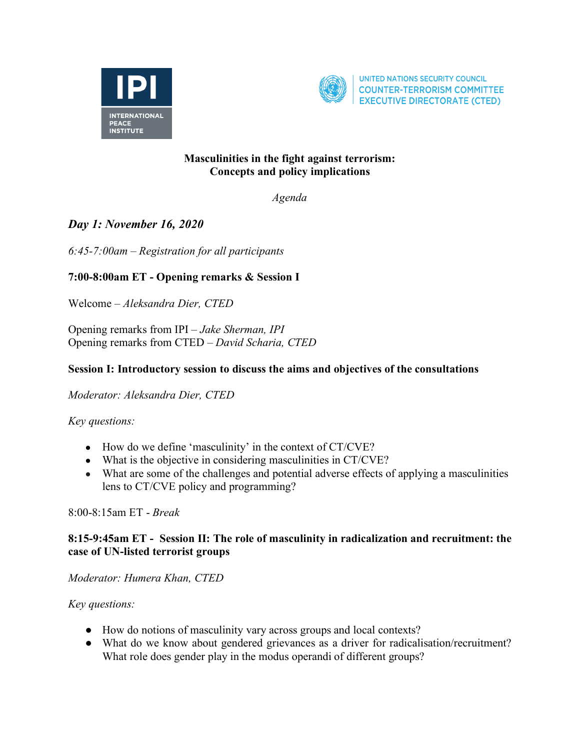



UNITED NATIONS SECURITY COUNCIL **COUNTER-TERRORISM COMMITTEE EXECUTIVE DIRECTORATE (CTED)** 

### **Masculinities in the fight against terrorism: Concepts and policy implications**

*Agenda*

# *Day 1: November 16, 2020*

*6:45-7:00am – Registration for all participants*

## **7:00-8:00am ET - Opening remarks & Session I**

Welcome – *Aleksandra Dier, CTED* 

Opening remarks from IPI – *Jake Sherman, IPI* Opening remarks from CTED – *David Scharia, CTED*

#### **Session I: Introductory session to discuss the aims and objectives of the consultations**

*Moderator: Aleksandra Dier, CTED*

*Key questions:*

- How do we define 'masculinity' in the context of CT/CVE?
- What is the objective in considering masculinities in CT/CVE?
- What are some of the challenges and potential adverse effects of applying a masculinities lens to CT/CVE policy and programming?

8:00-8:15am ET - *Break* 

#### **8:15-9:45am ET - Session II: The role of masculinity in radicalization and recruitment: the case of UN-listed terrorist groups**

*Moderator: Humera Khan, CTED*

*Key questions:*

- How do notions of masculinity vary across groups and local contexts?
- What do we know about gendered grievances as a driver for radicalisation/recruitment? What role does gender play in the modus operandi of different groups?